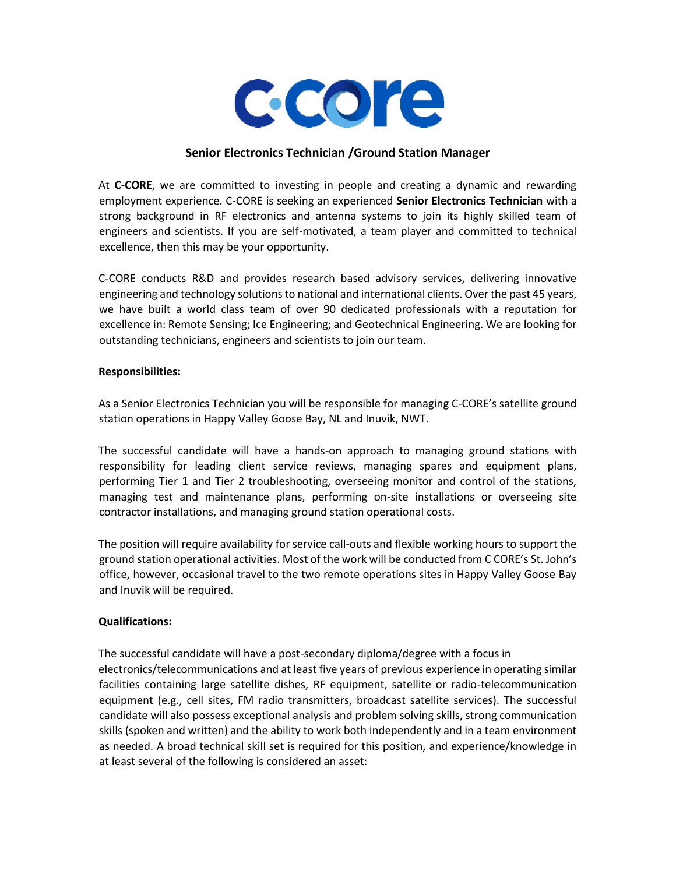

### **Senior Electronics Technician /Ground Station Manager**

At **C-CORE**, we are committed to investing in people and creating a dynamic and rewarding employment experience. C-CORE is seeking an experienced **Senior Electronics Technician** with a strong background in RF electronics and antenna systems to join its highly skilled team of engineers and scientists. If you are self-motivated, a team player and committed to technical excellence, then this may be your opportunity.

C-CORE conducts R&D and provides research based advisory services, delivering innovative engineering and technology solutions to national and international clients. Over the past 45 years, we have built a world class team of over 90 dedicated professionals with a reputation for excellence in: Remote Sensing; Ice Engineering; and Geotechnical Engineering. We are looking for outstanding technicians, engineers and scientists to join our team.

#### **Responsibilities:**

As a Senior Electronics Technician you will be responsible for managing C-CORE's satellite ground station operations in Happy Valley Goose Bay, NL and Inuvik, NWT.

The successful candidate will have a hands-on approach to managing ground stations with responsibility for leading client service reviews, managing spares and equipment plans, performing Tier 1 and Tier 2 troubleshooting, overseeing monitor and control of the stations, managing test and maintenance plans, performing on-site installations or overseeing site contractor installations, and managing ground station operational costs.

The position will require availability for service call-outs and flexible working hours to support the ground station operational activities. Most of the work will be conducted from C CORE's St. John's office, however, occasional travel to the two remote operations sites in Happy Valley Goose Bay and Inuvik will be required.

#### **Qualifications:**

The successful candidate will have a post-secondary diploma/degree with a focus in electronics/telecommunications and at least five years of previous experience in operating similar facilities containing large satellite dishes, RF equipment, satellite or radio-telecommunication equipment (e.g., cell sites, FM radio transmitters, broadcast satellite services). The successful candidate will also possess exceptional analysis and problem solving skills, strong communication skills (spoken and written) and the ability to work both independently and in a team environment as needed. A broad technical skill set is required for this position, and experience/knowledge in at least several of the following is considered an asset: